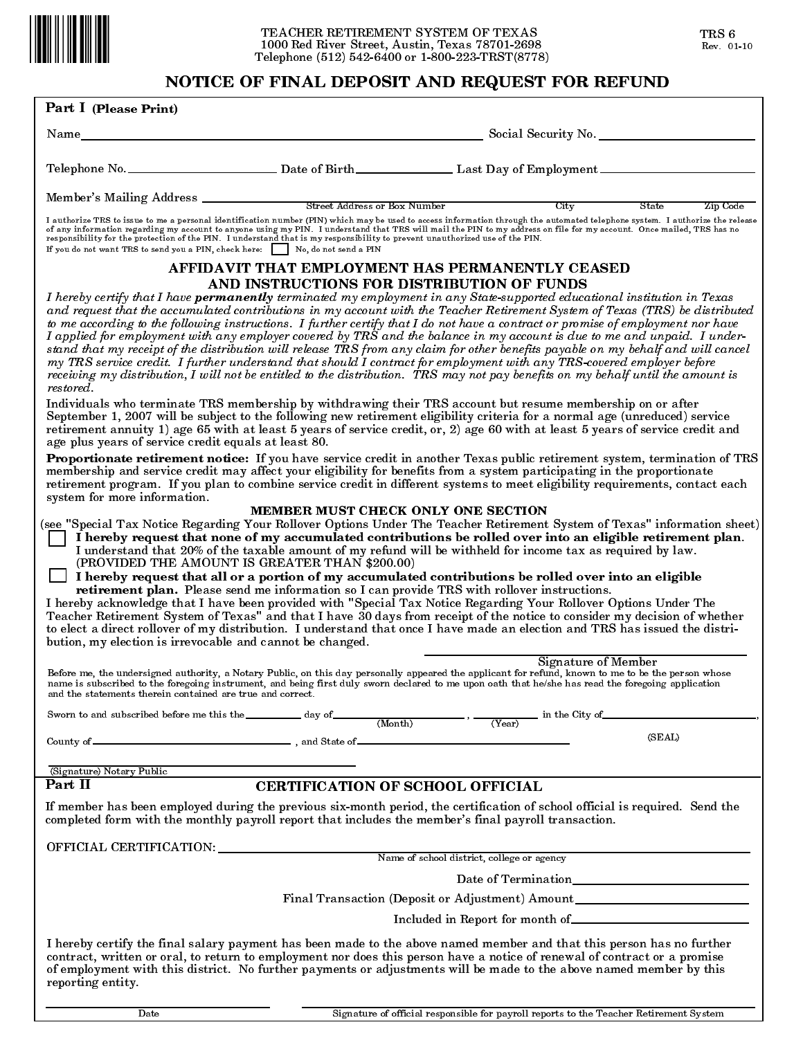

# NOTICE OF FINAL DEPOSIT AND REQUEST FOR REFUND

| Part I (Please Print)                                                                                                        |                                                                                                                                                       | NOTICE OF FINAL DEPOSIT AND REQUEST FOR REFUND                                                                                                                                                                                                                                                                                                                                                                                                                                                                                                                                                                                                                                                                                                                                                                                                                                                                                                                                                                                                                                                                                                                                                                                                                                                                         |
|------------------------------------------------------------------------------------------------------------------------------|-------------------------------------------------------------------------------------------------------------------------------------------------------|------------------------------------------------------------------------------------------------------------------------------------------------------------------------------------------------------------------------------------------------------------------------------------------------------------------------------------------------------------------------------------------------------------------------------------------------------------------------------------------------------------------------------------------------------------------------------------------------------------------------------------------------------------------------------------------------------------------------------------------------------------------------------------------------------------------------------------------------------------------------------------------------------------------------------------------------------------------------------------------------------------------------------------------------------------------------------------------------------------------------------------------------------------------------------------------------------------------------------------------------------------------------------------------------------------------------|
|                                                                                                                              |                                                                                                                                                       |                                                                                                                                                                                                                                                                                                                                                                                                                                                                                                                                                                                                                                                                                                                                                                                                                                                                                                                                                                                                                                                                                                                                                                                                                                                                                                                        |
| Name                                                                                                                         |                                                                                                                                                       | Social Security No.                                                                                                                                                                                                                                                                                                                                                                                                                                                                                                                                                                                                                                                                                                                                                                                                                                                                                                                                                                                                                                                                                                                                                                                                                                                                                                    |
|                                                                                                                              |                                                                                                                                                       |                                                                                                                                                                                                                                                                                                                                                                                                                                                                                                                                                                                                                                                                                                                                                                                                                                                                                                                                                                                                                                                                                                                                                                                                                                                                                                                        |
| Member's Mailing Address _______                                                                                             | <b>Street Address or Box Number</b>                                                                                                                   | City<br>State<br>Zip Code                                                                                                                                                                                                                                                                                                                                                                                                                                                                                                                                                                                                                                                                                                                                                                                                                                                                                                                                                                                                                                                                                                                                                                                                                                                                                              |
| If you do not want TRS to send you a PIN, check here:                                                                        | responsibility for the protection of the PIN. I understand that is my responsibility to prevent unauthorized use of the PIN.<br>No. do not send a PIN | I authorize TRS to issue to me a personal identification number (PIN) which may be used to access information through the automated telephone system. I authorize the release<br>of any information regarding my account to anyone using my PIN. I understand that TRS will mail the PIN to my address on file for my account. Once mailed, TRS has no                                                                                                                                                                                                                                                                                                                                                                                                                                                                                                                                                                                                                                                                                                                                                                                                                                                                                                                                                                 |
|                                                                                                                              |                                                                                                                                                       | AFFIDAVIT THAT EMPLOYMENT HAS PERMANENTLY CEASED                                                                                                                                                                                                                                                                                                                                                                                                                                                                                                                                                                                                                                                                                                                                                                                                                                                                                                                                                                                                                                                                                                                                                                                                                                                                       |
| restored.<br>age plus years of service credit equals at least 80.                                                            | AND INSTRUCTIONS FOR DISTRIBUTION OF FUNDS                                                                                                            | I hereby certify that I have <b>permanently</b> terminated my employment in any State-supported educational institution in Texas<br>and request that the accumulated contributions in my account with the Teacher Retirement System of Texas (TRS) be distributed<br>to me according to the following instructions. I further certify that I do not have a contract or promise of employment nor have<br>I applied for employment with any employer covered by TRS and the balance in my account is due to me and unpaid. I under-<br>stand that my receipt of the distribution will release TRS from any claim for other benefits payable on my behalf and will cancel<br>my TRS service credit. I further understand that should I contract for employment with any TRS-covered employer before<br>receiving my distribution, I will not be entitled to the distribution. TRS may not pay benefits on my behalf until the amount is<br>Individuals who terminate TRS membership by withdrawing their TRS account but resume membership on or after<br>September 1, 2007 will be subject to the following new retirement eligibility criteria for a normal age (unreduced) service<br>retirement annuity 1) age 65 with at least 5 years of service credit, or, 2) age 60 with at least 5 years of service credit and |
| system for more information.                                                                                                 |                                                                                                                                                       | Proportionate retirement notice: If you have service credit in another Texas public retirement system, termination of TRS<br>membership and service credit may affect your eligibility for benefits from a system participating in the proportionate<br>retirement program. If you plan to combine service credit in different systems to meet eligibility requirements, contact each                                                                                                                                                                                                                                                                                                                                                                                                                                                                                                                                                                                                                                                                                                                                                                                                                                                                                                                                  |
| bution, my election is irrevocable and cannot be changed.                                                                    | MEMBER MUST CHECK ONLY ONE SECTION<br>(PROVIDED THE AMOUNT IS GREATER THAN \$200.00)                                                                  | (see "Special Tax Notice Regarding Your Rollover Options Under The Teacher Retirement System of Texas" information sheet)<br>I hereby request that none of my accumulated contributions be rolled over into an eligible retirement plan.<br>I understand that 20% of the taxable amount of my refund will be withheld for income tax as required by law.<br>I hereby request that all or a portion of my accumulated contributions be rolled over into an eligible<br>retirement plan. Please send me information so I can provide TRS with rollover instructions.<br>I hereby acknowledge that I have been provided with "Special Tax Notice Regarding Your Rollover Options Under The<br>Teacher Retirement System of Texas" and that I have 30 days from receipt of the notice to consider my decision of whether<br>to elect a direct rollover of my distribution. I understand that once I have made an election and TRS has issued the distri-                                                                                                                                                                                                                                                                                                                                                                   |
| and the statements therein contained are true and correct.                                                                   |                                                                                                                                                       | <b>Signature of Member</b><br>Before me, the undersigned authority, a Notary Public, on this day personally appeared the applicant for refund, known to me to be the person whose<br>name is subscribed to the foregoing instrument, and being first duly sworn declared to me upon oath that he/she has read the foregoing application                                                                                                                                                                                                                                                                                                                                                                                                                                                                                                                                                                                                                                                                                                                                                                                                                                                                                                                                                                                |
|                                                                                                                              |                                                                                                                                                       | Sworn to and subscribed before me this the day of $\frac{1}{(Month)}$ , $\frac{1}{(Year)}$ in the City of                                                                                                                                                                                                                                                                                                                                                                                                                                                                                                                                                                                                                                                                                                                                                                                                                                                                                                                                                                                                                                                                                                                                                                                                              |
| County of $\hspace{0.1 cm}$ . The set of $\hspace{0.1 cm}$ , and State of $\hspace{0.1 cm}$ , and State of $\hspace{0.1 cm}$ |                                                                                                                                                       | (SEAL)                                                                                                                                                                                                                                                                                                                                                                                                                                                                                                                                                                                                                                                                                                                                                                                                                                                                                                                                                                                                                                                                                                                                                                                                                                                                                                                 |
| (Signature) Notary Public                                                                                                    |                                                                                                                                                       |                                                                                                                                                                                                                                                                                                                                                                                                                                                                                                                                                                                                                                                                                                                                                                                                                                                                                                                                                                                                                                                                                                                                                                                                                                                                                                                        |
| Part II                                                                                                                      | <b>CERTIFICATION OF SCHOOL OFFICIAL</b>                                                                                                               |                                                                                                                                                                                                                                                                                                                                                                                                                                                                                                                                                                                                                                                                                                                                                                                                                                                                                                                                                                                                                                                                                                                                                                                                                                                                                                                        |
|                                                                                                                              |                                                                                                                                                       | If member has been employed during the previous six-month period, the certification of school official is required. Send the<br>completed form with the monthly payroll report that includes the member's final payroll transaction.                                                                                                                                                                                                                                                                                                                                                                                                                                                                                                                                                                                                                                                                                                                                                                                                                                                                                                                                                                                                                                                                                   |
| OFFICIAL CERTIFICATION: Name of school district, college or agency                                                           |                                                                                                                                                       |                                                                                                                                                                                                                                                                                                                                                                                                                                                                                                                                                                                                                                                                                                                                                                                                                                                                                                                                                                                                                                                                                                                                                                                                                                                                                                                        |
|                                                                                                                              |                                                                                                                                                       |                                                                                                                                                                                                                                                                                                                                                                                                                                                                                                                                                                                                                                                                                                                                                                                                                                                                                                                                                                                                                                                                                                                                                                                                                                                                                                                        |
|                                                                                                                              |                                                                                                                                                       |                                                                                                                                                                                                                                                                                                                                                                                                                                                                                                                                                                                                                                                                                                                                                                                                                                                                                                                                                                                                                                                                                                                                                                                                                                                                                                                        |
|                                                                                                                              |                                                                                                                                                       | Final Transaction (Deposit or Adjustment) Amount Manuscripture and Manuscripture and Manuscripture and Manuscripture and Manuscripture and Manuscripture and Manuscripture and Manuscripture and Manuscripture and Manuscriptu                                                                                                                                                                                                                                                                                                                                                                                                                                                                                                                                                                                                                                                                                                                                                                                                                                                                                                                                                                                                                                                                                         |
|                                                                                                                              |                                                                                                                                                       |                                                                                                                                                                                                                                                                                                                                                                                                                                                                                                                                                                                                                                                                                                                                                                                                                                                                                                                                                                                                                                                                                                                                                                                                                                                                                                                        |
|                                                                                                                              |                                                                                                                                                       | I hereby certify the final salary nayment has been made to the above named member and that this person has no further                                                                                                                                                                                                                                                                                                                                                                                                                                                                                                                                                                                                                                                                                                                                                                                                                                                                                                                                                                                                                                                                                                                                                                                                  |

I hereby certify the final salary payment has been made to the above named member and that this person has no further contract, written or oral, to return to employment nor does this person have a notice of renewal of contract or a promise of employment with this district. No further payments or adjustments will be made to the above named member by this reporting entity.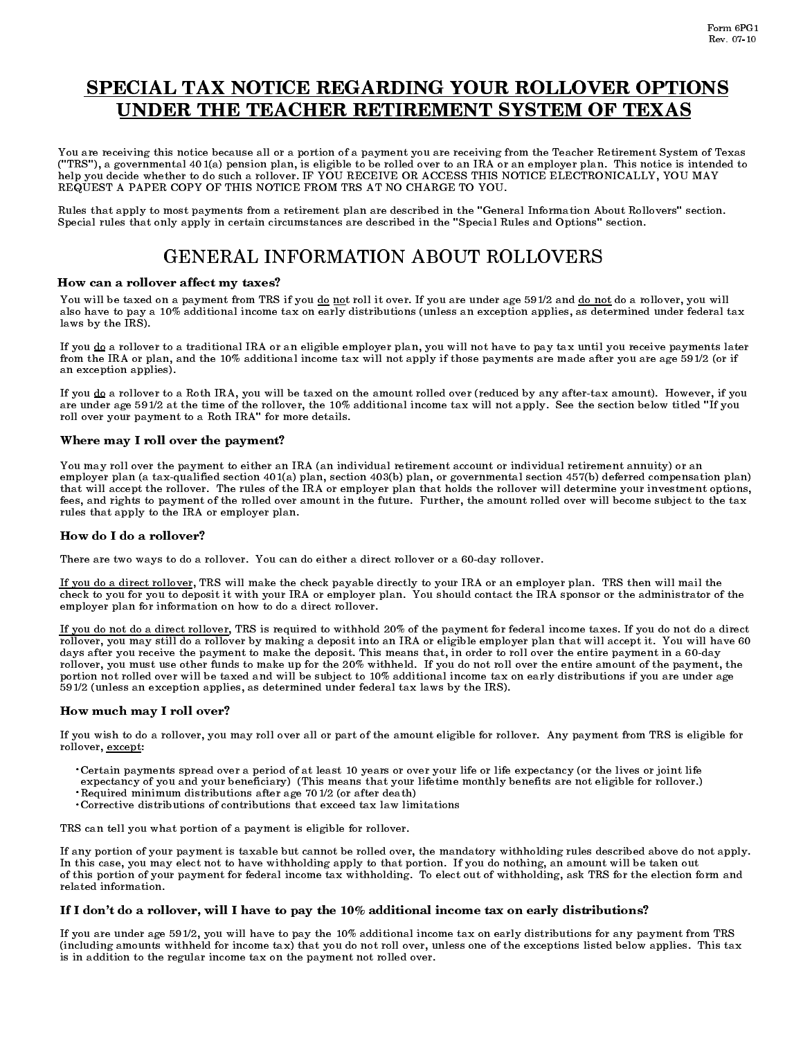# SPECIAL TAX NOTICE REGARDING YOUR ROLLOVER OPTIONS UNDER THE TEACHER RETIREMENT SYSTEM OF TEXAS

You are receiving this notice because all or a portion of a payment you are receiving from the Teacher Retirement System of Texas ("TRS"), a governmental 401(a) pension plan, is eligible to be rolled over to an IRA or an employer plan. This notice is intended to help you decide whether to do such a rollover. IF YOU RECEIVE OR ACCESS THIS NOTICE ELECTRONICALLY, YOU MAY REQUEST A PAPER COPY OF THIS NOTICE FROM TRS AT NO CHARGE TO YOU.

Rules that apply to most payments from a retirement plan are described in the "General Information About Rollovers" section. Special rules that only apply in certain circumstances are described in the "Special Rules and Options" section.

# GENERAL INFORMATION ABOUT ROLLOVERS

# How can a rollover affect my taxes?

You will be taxed on a payment from TRS if you do not roll it over. If you are under age 591/2 and do not do a rollover, you will also have to pay a 10% additional income tax on early distributions (unless an exception applies, as determined under federal tax laws by the IRS).

If you do a rollover to a traditional IRA or an eligible employer plan, you will not have to pay tax until you receive payments later from the IRA or plan, and the 10% additional income tax will not apply if those payments are made after you are age 591/2 (or if an exception applies).

If you do a rollover to a Roth IRA, you will be taxed on the amount rolled over (reduced by any after-tax amount). However, if you are under age 591/2 at the time of the rollover, the 10% additional income tax will not apply. See the section below titled "If you roll over your payment to a Roth IRA" for more details.

# Where may I roll over the payment?

You may roll over the payment to either an IRA (an individual retirement account or individual retirement annuity) or an employer plan (a tax-qualified section 401(a) plan, section 403(b) plan, or governmental section 457(b) deferred compensation plan) that will accept the rollover. The rules of the IRA or employer plan that holds the rollover will determine your investment options, fees, and rights to payment of the rolled over amount in the future. Further, the amount rolled over will become subject to the tax rules that apply to the IRA or employer plan.

#### How do I do a rollover?

There are two ways to do a rollover. You can do either a direct rollover or a 60-day rollover.

If you do a direct rollover, TRS will make the check payable directly to your IRA or an employer plan. TRS then will mail the check to you for you to deposit it with your IRA or employer plan. You should contact the IRA sponsor or the administrator of the employer plan for information on how to do a direct rollover.

If you do not do a direct rollover, TRS is required to withhold 20% of the payment for federal income taxes. If you do not do a direct rollover, you may still do a rollover by making a deposit into an IRA or eligible employer plan that will accept it. You will have 60 days after you receive the payment to make the deposit. This means that, in order to roll over the entire payment in a 60-day rollover, you must use other funds to make up for the 20% withheld. If you do not roll over the entire amount of the payment, the portion not rolled over will be taxed and will be subject to 10% additional income tax on early distributions if you are under age 591/2 (unless an exception applies, as determined under federal tax laws by the IRS).

# How much may I roll over?

If you wish to do a rollover, you may roll over all or part of the amount eligible for rollover. Any payment from TRS is eligible for rollover, except:

- Certain payments spread over a period of at least 10 years or over your life or life expectancy (or the lives or joint life .
- expectancy of you and your beneficiary) (This means that your lifetime monthly benefits are not eligible for rollover.)<br>• Bequired minimum distributions often are 701/2 (an efter death)
- Required minimum distributions after age 701/2 (or after death)<br>• Corrective distributions of contributions that exceed toy low limitations
	- Corrective distributions of contributions that exceed tax law limitations

TRS can tell you what portion of a payment is eligible for rollover.

If any portion of your payment is taxable but cannot be rolled over, the mandatory withholding rules described above do not apply. In this case, you may elect not to have withholding apply to that portion. If you do nothing, an amount will be taken out of this portion of your payment for federal income tax withholding. To elect out of withholding, ask TRS for the election form and related information.

#### If I don't do a rollover, will I have to pay the 10% additional income tax on early distributions?

If you are under age 591/2, you will have to pay the 10% additional income tax on early distributions for any payment from TRS (including amounts withheld for income tax) that you do not roll over, unless one of the exceptions listed below applies. This tax is in addition to the regular income tax on the payment not rolled over.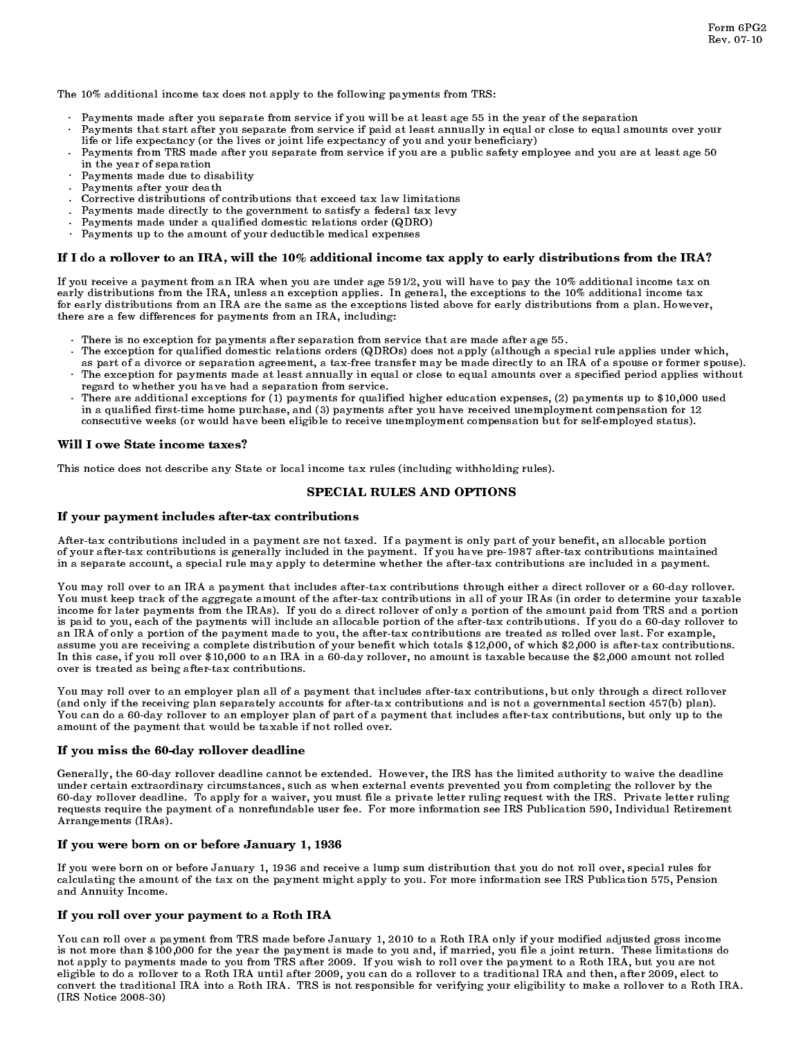The 10% additional income tax does not apply to the following payments from TRS:

- . Payments made after you separate from service if you will be at least age 55 in the year of the separation
- . Payments that start after you separate from service if paid at least annually in equal or close to equal amounts over your life or life expectancy (or the lives or joint life expectancy of you and your beneficiary)
- . Payments from TRS made after you separate from service if you are a public safety employee and you are at least age 50 in the year of separation
- . Payments made due to disability
- . Payments after your death
- . Corrective distributions of contributions that exceed tax law limitations
- . Payments made directly to the government to satisfy a federal tax levy
- . Payments made under a qualified domestic relations order (QDRO)
- . Payments up to the amount of your deductible medical expenses

## If I do a rollover to an IRA, will the 10% additional income tax apply to early distributions from the IRA?

If you receive a payment from an IRA when you are under age 591/2, you will have to pay the 10% additional income tax on early distributions from the IRA, unless an exception applies. In general, the exceptions to the 10% additional income tax for early distributions from an IRA are the same as the exceptions listed above for early distributions from a plan. However, there are a few differences for payments from an IRA, including:

- There is no exception for payments after separation from service that are made after age 55. .
- The exception for qualified domestic relations orders (QDROs) does not apply (although a special rule applies under which, . as part of a divorce or separation agreement, a tax-free transfer may be made directly to an IRA of a spouse or former spouse).
- The exception for payments made at least annually in equal or close to equal amounts over a specified period applies without . regard to whether you have had a separation from service.
	- There are additional exceptions for (1) payments for qualified higher education expenses, (2) payments up to \$10,000 used in a qualified first-time home purchase, and (3) payments after you have received unemployment compensation for 12 consecutive weeks (or would have been eligible to receive unemployment compensation but for self-employed status). .

#### Will I owe State income taxes?

This notice does not describe any State or local income tax rules (including withholding rules).<br>SPECIAL RULES AND OPTIONS

#### If your payment includes after-tax contributions

After-tax contributions included in a payment are not taxed. If a payment is only part of your benefit, an allocable portion of your after-tax contributions is generally included in the payment. If you have pre-1987 after-tax contributions maintained in a separate account, a special rule may apply to determine whether the after-tax contributions are included in a payment.

You may roll over to an IRA a payment that includes after-tax contributions through either a direct rollover or a 60-day rollover. You must keep track of the aggregate amount of the after-tax contributions in all of your IRAs (in order to determine your taxable income for later payments from the IRAs). If you do a direct rollover of only a portion of the amount paid from TRS and a portion is paid to you, each of the payments will include an allocable portion of the after-tax contributions. If you do a 60-day rollover to an IRA of only a portion of the payment made to you, the after-tax contributions are treated as rolled over last. For example, assume you are receiving a complete distribution of your benefit which totals \$12,000, of which \$2,000 is after-tax contributions. In this case, if you roll over \$10,000 to an IRA in a 60-day rollover, no amount is taxable because the \$2,000 amount not rolled over is treated as being after-tax contributions.

You may roll over to an employer plan all of a payment that includes after-tax contributions, but only through a direct rollover (and only if the receiving plan separately accounts for after-tax contributions and is not a governmental section 457(b) plan). You can do a 60-day rollover to an employer plan of part of a payment that includes after-tax contributions, but only up to the amount of the payment that would be taxable if not rolled over.

#### If you miss the 60-day rollover deadline

Generally, the 60-day rollover deadline cannot be extended. However, the IRS has the limited authority to waive the deadline under certain extraordinary circumstances, such as when external events prevented you from completing the rollover by the 60-day rollover deadline. To apply for a waiver, you must file a private letter ruling request with the IRS. Private letter ruling requests require the payment of a nonrefundable user fee. For more information see IRS Publication 590, Individual Retirement Arrangements (IRAs).

#### If you were born on or before January 1, 1936

If you were born on or before January 1, 1936 and receive a lump sum distribution that you do not roll over, special rules for calculating the amount of the tax on the payment might apply to you. For more information see IRS Publication 575, Pension and Annuity Income.

## If you roll over your payment to a Roth IRA

You can roll over a payment from TRS made before January 1, 2010 to a Roth IRA only if your modified adjusted gross income is not more than \$100,000 for the year the payment is made to you and, if married, you file a joint return. These limitations do not apply to payments made to you from TRS after 2009. If you wish to roll over the payment to a Roth IRA, but you are not eligible to do a rollover to a Roth IRA until after 2009, you can do a rollover to a traditional IRA and then, after 2009, elect to convert the traditional IRA into a Roth IRA. TRS is not responsible for verifying your eligibility to make a rollover to a Roth IRA. (IRS Notice 2008-30)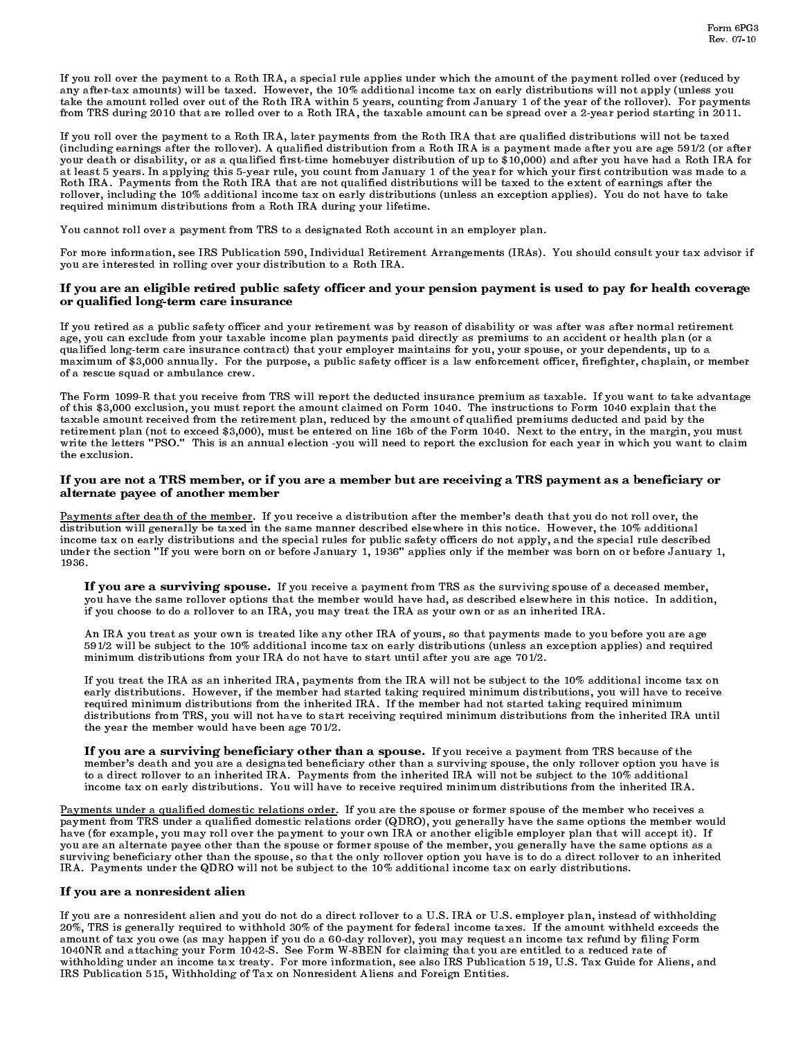If you roll over the payment to a Roth IRA, a special rule applies under which the amount of the payment rolled over (reduced by any after-tax amounts) will be taxed. However, the 10% additional income tax on early distributions will not apply (unless you take the amount rolled over out of the Roth IRA within 5 years, counting from January 1 of the year of the rollover). For payments from TRS during 2010 that are rolled over to a Roth IRA, the taxable amount can be spread over a 2-year period starting in 2011.

If you roll over the payment to a Roth IRA, later payments from the Roth IRA that are qualified distributions will not be taxed (including earnings after the rollover). A qualified distribution from a Roth IRA is a payment made after you are age 591/2 (or after your death or disability, or as a qualified first-time homebuyer distribution of up to \$10,000) and after you have had a Roth IRA for at least 5 years. In applying this 5-year rule, you count from January 1 of the year for which your first contribution was made to a Roth IRA. Payments from the Roth IRA that are not qualified distributions will be taxed to the extent of earnings after the rollover, including the 10% additional income tax on early distributions (unless an exception applies). You do not have to take required minimum distributions from a Roth IRA during your lifetime.

You cannot roll over a payment from TRS to a designated Roth account in an employer plan.

For more information, see IRS Publication 590, Individual Retirement Arrangements (IRAs). You should consult your tax advisor if you are interested in rolling over your distribution to a Roth IRA.

#### If you are an eligible retired public safety officer and your pension payment is used to pay for health coverage or qualified long-term care insurance

If you retired as a public safety officer and your retirement was by reason of disability or was after was after normal retirement age, you can exclude from your taxable income plan payments paid directly as premiums to an accident or health plan (or a qualified long-term care insurance contract) that your employer maintains for you, your spouse, or your dependents, up to a maximum of \$3,000 annually. For the purpose, a public safety officer is a law enforcement officer, firefighter, chaplain, or member of a rescue squad or ambulance crew.

The Form 1099-R that you receive from TRS will report the deducted insurance premium as taxable. If you want to take advantage of this \$3,000 exclusion, you must report the amount claimed on Form 1040. The instructions to Form 1040 explain that the taxable amount received from the retirement plan, reduced by the amount of qualified premiums deducted and paid by the retirement plan (not to exceed \$3,000), must be entered on line 16b of the Form 1040. Next to the entry, in the margin, you must write the letters "PSO." This is an annual election -you will need to report the exclusion for each year in which you want to claim the exclusion.

#### If you are not a TRS member, or if you are a member but are receiving a TRS payment as a beneficiary or alternate payee of another member

Payments after death of the member. If you receive a distribution after the member's death that you do not roll over, the distribution will generally be taxed in the same manner described elsewhere in this notice. However, the 10% additional income tax on early distributions and the special rules for public safety officers do not apply, and the special rule described under the section "If you were born on or before January 1, 1936" applies only if the member was born on or before January 1, 1936.<br>If you are a surviving spouse. If you receive a payment from TRS as the surviving spouse of a deceased member,

 you have the same rollover options that the member would have had, as described elsewhere in this notice. In addition, if you choose to do a rollover to an IRA, you may treat the IRA as your own or as an inherited IRA.

 An IRA you treat as your own is treated like any other IRA of yours, so that payments made to you before you are age 591/2 will be subject to the 10% additional income tax on early distributions (unless an exception applies) and required minimum distributions from your IRA do not have to start until after you are age 701/2.

 If you treat the IRA as an inherited IRA, payments from the IRA will not be subject to the 10% additional income tax on early distributions. However, if the member had started taking required minimum distributions, you will have to receive required minimum distributions from the inherited IRA. If the member had not started taking required minimum distributions from TRS, you will not have to start receiving required minimum distributions from the inherited IRA until

If you are a surviving beneficiary other than a spouse. If you receive a payment from TRS because of the member's death and you are a designated beneficiary other than a surviving spouse, the only rollover option you have is to a direct rollover to an inherited IRA. Payments from the inherited IRA will not be subject to the 10% additional income tax on early distributions. You will have to receive required minimum distributions from the inherited IRA.

Payments under a qualified domestic relations order. If you are the spouse or former spouse of the member who receives a payment from TRS under a qualified domestic relations order (QDRO), you generally have the same options the member would have (for example, you may roll over the payment to your own IRA or another eligible employer plan that will accept it). If you are an alternate payee other than the spouse or former spouse of the member, you generally have the same options as a surviving beneficiary other than the spouse, so that the only rollover option you have is to do a direct rollover to an inherited IRA. Payments under the QDRO will not be subject to the 10% additional income tax on early distributions.

### If you are a nonresident alien

If you are a nonresident alien and you do not do a direct rollover to a U.S. IRA or U.S. employer plan, instead of withholding 20%, TRS is generally required to withhold 30% of the payment for federal income taxes. If the amount withheld exceeds the amount of tax you owe (as may happen if you do a 60-day rollover), you may request an income tax refund by filing Form 1040NR and attaching your Form 1042-S. See Form W-8BEN for claiming that you are entitled to a reduced rate of withholding under an income tax treaty. For more information, see also IRS Publication 519, U.S. Tax Guide for Aliens, and IRS Publication 515, Withholding of Tax on Nonresident Aliens and Foreign Entities.